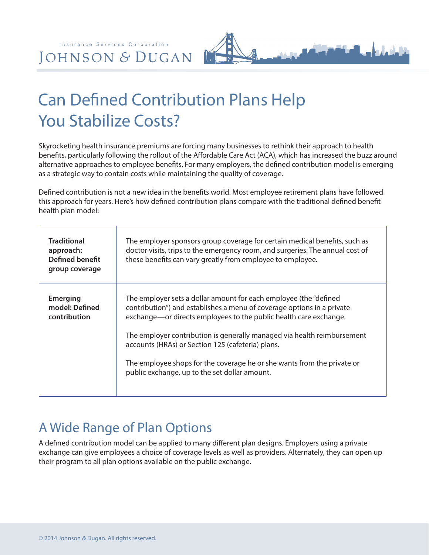# Can Defined Contribution Plans Help You Stabilize Costs?

Skyrocketing health insurance premiums are forcing many businesses to rethink their approach to health benefits, particularly following the rollout of the Affordable Care Act (ACA), which has increased the buzz around alternative approaches to employee benefits. For many employers, the defined contribution model is emerging as a strategic way to contain costs while maintaining the quality of coverage.

Defined contribution is not a new idea in the benefits world. Most employee retirement plans have followed this approach for years. Here's how defined contribution plans compare with the traditional defined benefit health plan model:

| <b>Traditional</b><br>approach:<br><b>Defined benefit</b><br>group coverage | The employer sponsors group coverage for certain medical benefits, such as<br>doctor visits, trips to the emergency room, and surgeries. The annual cost of<br>these benefits can vary greatly from employee to employee.                                                                                                                                                                                                                                                    |
|-----------------------------------------------------------------------------|------------------------------------------------------------------------------------------------------------------------------------------------------------------------------------------------------------------------------------------------------------------------------------------------------------------------------------------------------------------------------------------------------------------------------------------------------------------------------|
| <b>Emerging</b><br>model: Defined<br>contribution                           | The employer sets a dollar amount for each employee (the "defined<br>contribution") and establishes a menu of coverage options in a private<br>exchange—or directs employees to the public health care exchange.<br>The employer contribution is generally managed via health reimbursement<br>accounts (HRAs) or Section 125 (cafeteria) plans.<br>The employee shops for the coverage he or she wants from the private or<br>public exchange, up to the set dollar amount. |

## A Wide Range of Plan Options

A defined contribution model can be applied to many different plan designs. Employers using a private exchange can give employees a choice of coverage levels as well as providers. Alternately, they can open up their program to all plan options available on the public exchange.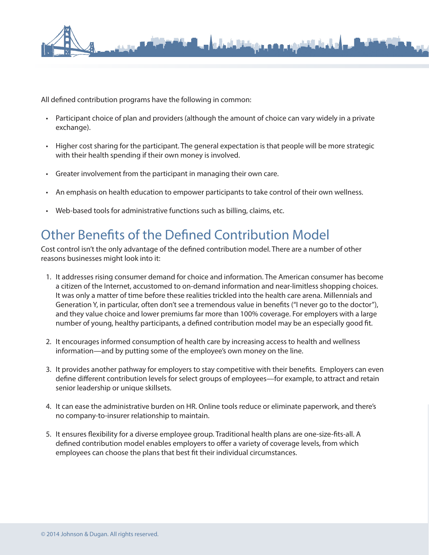

All defined contribution programs have the following in common:

- Participant choice of plan and providers (although the amount of choice can vary widely in a private exchange).
- Higher cost sharing for the participant. The general expectation is that people will be more strategic with their health spending if their own money is involved.
- Greater involvement from the participant in managing their own care.
- An emphasis on health education to empower participants to take control of their own wellness.
- Web-based tools for administrative functions such as billing, claims, etc.

### Other Benefits of the Defined Contribution Model

Cost control isn't the only advantage of the defined contribution model. There are a number of other reasons businesses might look into it:

- 1. It addresses rising consumer demand for choice and information. The American consumer has become a citizen of the Internet, accustomed to on-demand information and near-limitless shopping choices. It was only a matter of time before these realities trickled into the health care arena. Millennials and Generation Y, in particular, often don't see a tremendous value in benefits ("I never go to the doctor"), and they value choice and lower premiums far more than 100% coverage. For employers with a large number of young, healthy participants, a defined contribution model may be an especially good fit.
- 2. It encourages informed consumption of health care by increasing access to health and wellness information—and by putting some of the employee's own money on the line.
- 3. It provides another pathway for employers to stay competitive with their benefits. Employers can even define different contribution levels for select groups of employees—for example, to attract and retain senior leadership or unique skillsets.
- 4. It can ease the administrative burden on HR. Online tools reduce or eliminate paperwork, and there's no company-to-insurer relationship to maintain.
- 5. It ensures flexibility for a diverse employee group. Traditional health plans are one-size-fits-all. A defined contribution model enables employers to offer a variety of coverage levels, from which employees can choose the plans that best fit their individual circumstances.